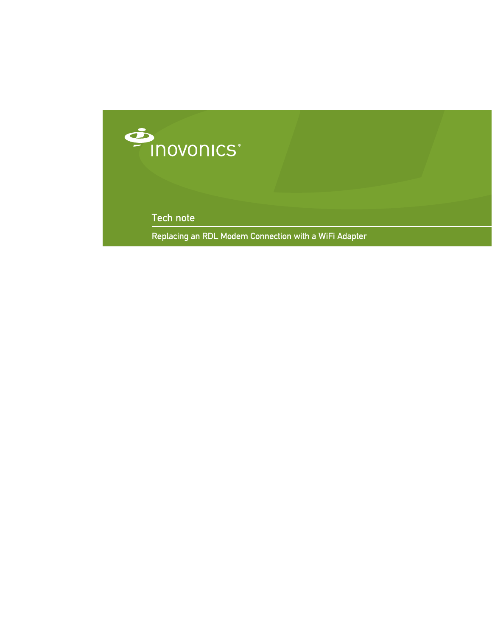

Tech note

Replacing an RDL Modem Connection with a WiFi Adapter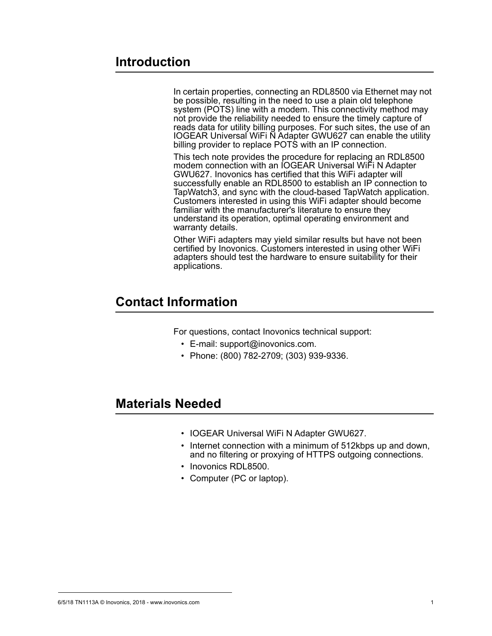## **Introduction**

In certain properties, connecting an RDL8500 via Ethernet may not be possible, resulting in the need to use a plain old telephone system (POTS) line with a modem. This connectivity method may not provide the reliability needed to ensure the timely capture of reads data for utility billing purposes. For such sites, the use of an IOGEAR Universal WiFi N Adapter GWU627 can enable the utility billing provider to replace POTS with an IP connection.

This tech note provides the procedure for replacing an RDL8500 modem connection with an IOGEAR Universal WiFi N Adapter GWU627. Inovonics has certified that this WiFi adapter will successfully enable an RDL8500 to establish an IP connection to TapWatch3, and sync with the cloud-based TapWatch application. Customers interested in using this WiFi adapter should become familiar with the manufacturer's literature to ensure they understand its operation, optimal operating environment and warranty details.

Other WiFi adapters may yield similar results but have not been certified by Inovonics. Customers interested in using other WiFi adapters should test the hardware to ensure suitability for their applications.

## **Contact Information**

For questions, contact Inovonics technical support:

- E-mail: support@inovonics.com.
- Phone: (800) 782-2709; (303) 939-9336.

## **Materials Needed**

- IOGEAR Universal WiFi N Adapter GWU627.
- Internet connection with a minimum of 512kbps up and down, and no filtering or proxying of HTTPS outgoing connections.
- Inovonics RDL8500.
- Computer (PC or laptop).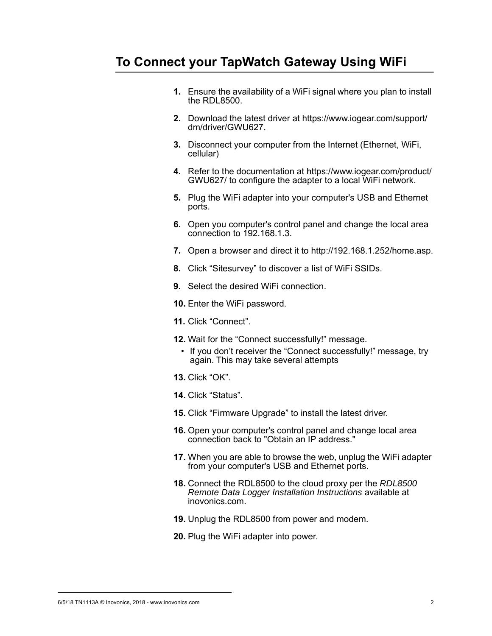## **To Connect your TapWatch Gateway Using WiFi**

- **1.** Ensure the availability of a WiFi signal where you plan to install the RDL8500.
- **2.** Download the latest driver at https://www.iogear.com/support/ dm/driver/GWU627.
- **3.** Disconnect your computer from the Internet (Ethernet, WiFi, cellular)
- **4.** Refer to the documentation at https://www.iogear.com/product/ GWU627/ to configure the adapter to a local WiFi network.
- **5.** Plug the WiFi adapter into your computer's USB and Ethernet ports.
- **6.** Open you computer's control panel and change the local area connection to 192.168.1.3.
- **7.** Open a browser and direct it to http://192.168.1.252/home.asp.
- **8.** Click "Sitesurvey" to discover a list of WiFi SSIDs.
- **9.** Select the desired WiFi connection.
- **10.** Enter the WiFi password.
- **11.** Click "Connect".
- **12.** Wait for the "Connect successfully!" message.
	- If you don't receiver the "Connect successfully!" message, try again. This may take several attempts
- **13.** Click "OK".
- **14.** Click "Status".
- **15.** Click "Firmware Upgrade" to install the latest driver.
- **16.** Open your computer's control panel and change local area connection back to "Obtain an IP address."
- **17.** When you are able to browse the web, unplug the WiFi adapter from your computer's USB and Ethernet ports.
- **18.** Connect the RDL8500 to the cloud proxy per the *RDL8500 Remote Data Logger Installation Instructions* available at inovonics.com.
- **19.** Unplug the RDL8500 from power and modem.
- **20.** Plug the WiFi adapter into power.